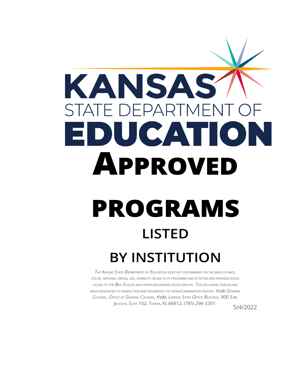

## **BY INSTITUTION**

*THE KANSAS STATE DEPARTMENT OF EDUCATION DOES NOT DISCRIMINATE ON THE BASIS OF RACE, COLOR, NATIONAL ORIGIN, SEX, DISABILITY OR AGE IN ITS PROGRAMS AND ACTIVITIES AND PROVIDES EQUAL ACCESS TO THE BOY SCOUTS AND OTHER DESIGNATED YOUTH GROUPS. THE FOLLOWING PERSON HAS BEEN DESIGNATED TO HANDLE INQUIRIES REGARDING THE NONDISCRIMINATION POLICIES: Ksde GENERAL COUNSEL, OFFICE OF GENERAL COUNSEL, Ksde, LANDON STATE OFFICE BUILDING, 900 S.w. JACKSON, SUITE 102, TOPEKA, Ks 66612, (785) 296-3201.*

5/4/2022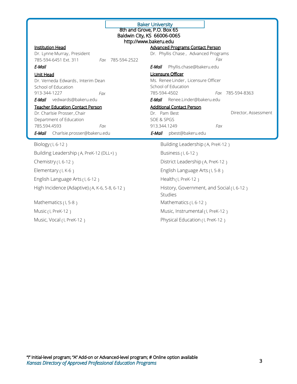| <b>Baker University</b><br>8th and Grove, P.O. Box 65<br>Baldwin City, KS 66006-0065<br>http://www.bakeru.edu |                                                            |  |
|---------------------------------------------------------------------------------------------------------------|------------------------------------------------------------|--|
| <b>Institution Head</b>                                                                                       | <b>Advanced Programs Contact Person</b>                    |  |
| Dr. Lynne Murray, President                                                                                   | Dr. Phyllis Chase, Advanced Programs                       |  |
| 785-594-6451 Ext. 311<br>Fax 785-594-2522                                                                     | Fax                                                        |  |
| E-Mail                                                                                                        | E-Mail<br>Phyllis.chase@bakeru.edu                         |  |
| Unit Head                                                                                                     | Licensure Officer                                          |  |
| Dr. Verneda Edwards, Interim Dean                                                                             | Ms. Renee Linder, Licensure Officer                        |  |
| School of Education<br>913-344-1227                                                                           | School of Education<br>785-594-4502<br>785-594-8363<br>Fax |  |
| Fax<br>vedwards@bakeru.edu<br>E-Mail                                                                          | Renee.Linder@bakeru.edu<br>E-Mail                          |  |
| <b>Teacher Education Contact Person</b>                                                                       | <b>Additional Contact Person</b>                           |  |
| Dr. Charlsie Prosser, Chair                                                                                   | Director, Assessment<br>Dr. Pam Best                       |  |
| Department of Education                                                                                       | SOE & SPGS                                                 |  |
| 785.594.4593<br>Fax                                                                                           | 913.344.1249<br>Fax                                        |  |
| E-Mail<br>Charlsie.prosser@bakeru.edu                                                                         | pbest@bakeru.edu<br>E-Mail                                 |  |
| Biology (I, 6-12)                                                                                             | Building Leadership (A, PreK-12)                           |  |
| Building Leadership (A, PreK-12 (DLL+))                                                                       | Business (1, 6-12)                                         |  |
| Chemistry $(1, 6-12)$                                                                                         | District Leadership (A, PreK-12)                           |  |
| Elementary (I, K-6)                                                                                           | English Language Arts (I, 5-8)                             |  |
| English Language Arts (I, 6-12)                                                                               | Health (I, PreK-12)                                        |  |
| High Incidence (Adaptive) (A, K-6, 5-8, 6-12)                                                                 | History, Government, and Social (I, 6-12)<br>Studies       |  |
| Mathematics (I, 5-8)                                                                                          | Mathematics (I, 6-12)                                      |  |
| Music (I, PreK-12)                                                                                            | Music, Instrumental (I, PreK-12)                           |  |
| Music, Vocal (I, PreK-12)                                                                                     | Physical Education (I, PreK-12)                            |  |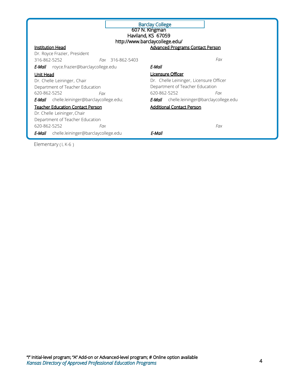| <b>Barclay College</b><br>607 N. Kingman<br>Haviland, KS 67059<br>http://www.barclaycollege.edu/ |                                                   |  |  |
|--------------------------------------------------------------------------------------------------|---------------------------------------------------|--|--|
| Institution Head                                                                                 | <b>Advanced Programs Contact Person</b>           |  |  |
| Dr. Royce Frazier, President                                                                     |                                                   |  |  |
| 316-862-5252<br><i>Fax</i> 316-862-5403                                                          | Fax                                               |  |  |
| <b>E-Mail</b> royce.frazier@barclaycollege.edu                                                   | E-Mail                                            |  |  |
| Unit Head                                                                                        | Licensure Officer                                 |  |  |
| Dr. Chelle Leininger, Chair                                                                      | Dr. Chelle Leininger, Licensure Officer           |  |  |
| Department of Teacher Education                                                                  | Department of Teacher Education                   |  |  |
| 620-862-5252<br>Fax                                                                              | 620-862-5252<br>Fax                               |  |  |
| <b>E-Mail</b> chelle.leininger@barclaycollege.edu;                                               | <b>E-Mail</b> chelle.leininger@barclaycollege.edu |  |  |
| <u> Teacher Education Contact Person</u>                                                         | <b>Additional Contact Person</b>                  |  |  |
| Dr. Chelle Leininger, Chair                                                                      |                                                   |  |  |
| Department of Teacher Education                                                                  |                                                   |  |  |
| 620-862-5252<br>Fax                                                                              | Fax                                               |  |  |
| chelle.leininger@barclaycollege.edu<br>E-Mail                                                    | E-Mail                                            |  |  |

Elementary (I, K-6)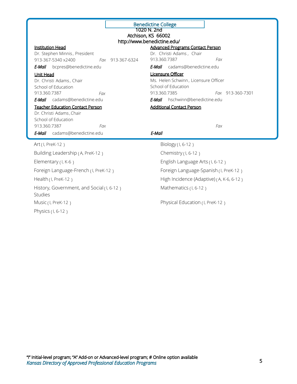| <b>Benedictine College</b><br>1020 N. 2nd<br>Atchison, KS 66002<br>http://www.benedictine.edu/ |                                          |  |  |
|------------------------------------------------------------------------------------------------|------------------------------------------|--|--|
|                                                                                                | <b>Advanced Programs Contact Person</b>  |  |  |
| <b>Institution Head</b><br>Dr. Stephen Minnis, President                                       | Dr. Christi Adams, Chair                 |  |  |
| 913-367-5340 x2400<br>Fax 913-367-6324                                                         | 913.360.7387<br>Fax                      |  |  |
| bcpres@benedictine.edu<br>E-Mail                                                               | cadams@benedictine.edu<br>E-Mail         |  |  |
|                                                                                                | <b>Licensure Officer</b>                 |  |  |
| <b>Unit Head</b>                                                                               | Ms. Helen Schwinn, Licensure Officer     |  |  |
| Dr. Christi Adams, Chair<br>School of Education                                                | School of Education                      |  |  |
| 913.360.7387<br>Fax                                                                            | 913.360.7385<br>Fax 913-360-7301         |  |  |
| <b>E-Mail</b> cadams@benedictine.edu                                                           | E-Mail<br>hschwinn@benedictine.edu       |  |  |
| <b>Teacher Education Contact Person</b>                                                        | <b>Additional Contact Person</b>         |  |  |
| Dr. Christi Adams, Chair                                                                       |                                          |  |  |
| School of Education                                                                            |                                          |  |  |
| 913.360.7387<br>Fax                                                                            | Fax                                      |  |  |
| E-Mail cadams@benedictine.edu                                                                  | E-Mail                                   |  |  |
| Art (I, PreK-12)                                                                               | Biology (I, 6-12)                        |  |  |
| Building Leadership (A, PreK-12)                                                               | Chemistry (I, 6-12)                      |  |  |
| Elementary $(1, K-6)$                                                                          | English Language Arts (I, 6-12)          |  |  |
| Foreign Language-French (I, PreK-12)                                                           | Foreign Language-Spanish (I, PreK-12)    |  |  |
| Health (I, PreK-12)                                                                            | High Incidence (Adaptive) (A, K-6, 6-12) |  |  |
| History, Government, and Social (I, 6-12)<br>Studies                                           | Mathematics (I, 6-12)                    |  |  |
| Music (I, PreK-12)                                                                             | Physical Education (I, PreK-12)          |  |  |
| Physics (1, 6-12)                                                                              |                                          |  |  |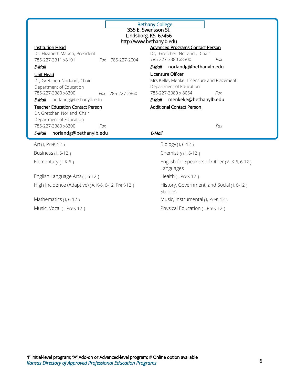| <b>Bethany College</b><br>335 E. Swensson St.<br>Lindsborg, KS 67456<br>http://www.bethanylb.edu                                                                                                                                                                                              |                                                                                                                                                                                                |  |
|-----------------------------------------------------------------------------------------------------------------------------------------------------------------------------------------------------------------------------------------------------------------------------------------------|------------------------------------------------------------------------------------------------------------------------------------------------------------------------------------------------|--|
| <b>Institution Head</b><br>Dr. Elizabeth Mauch, President<br>785-227-3311 x8101<br>785-227-2004<br>Fax<br>E-Mail                                                                                                                                                                              | <b>Advanced Programs Contact Person</b><br>Dr, Gretchen Norland, Chair<br>785-227-3380 x8300<br>Fax<br>norlandg@bethanylb.edu<br>E-Mail                                                        |  |
| <b>Unit Head</b><br>Dr, Gretchen Norland, Chair<br>Department of Education<br>785-227-3380 x8300<br>785-227-2860<br>Fax<br>norlandg@bethanylb.edu<br>E-Mail<br><b>Teacher Education Contact Person</b><br>Dr, Gretchen Norland, Chair<br>Department of Education<br>785-227-3380 x8300<br>Fax | Licensure Officer<br>Mrs Kelley Menke, Licensure and Placement<br>Department of Education<br>785-227-3380 x 8054<br>Fax<br>menkeke@bethanylb.edu<br>E-Mail<br><b>Additional Contact Person</b> |  |
| norlandg@bethanylb.edu<br>E-Mail                                                                                                                                                                                                                                                              | Fax<br>E-Mail                                                                                                                                                                                  |  |
| Art (I, PreK-12)                                                                                                                                                                                                                                                                              | Biology (I, 6-12)                                                                                                                                                                              |  |
| Business (1, 6-12)                                                                                                                                                                                                                                                                            | Chemistry $(1, 6-12)$                                                                                                                                                                          |  |
| Elementary $(I, K-6)$                                                                                                                                                                                                                                                                         | English for Speakers of Other (A, K-6, 6-12)<br>Languages                                                                                                                                      |  |
| English Language Arts (I, 6-12)                                                                                                                                                                                                                                                               | Health (I, PreK-12)                                                                                                                                                                            |  |
| High Incidence (Adaptive) (A, K-6, 6-12, PreK-12)                                                                                                                                                                                                                                             | History, Government, and Social (I, 6-12)<br><b>Studies</b>                                                                                                                                    |  |
| Mathematics (I, 6-12)                                                                                                                                                                                                                                                                         | Music, Instrumental (I, PreK-12)                                                                                                                                                               |  |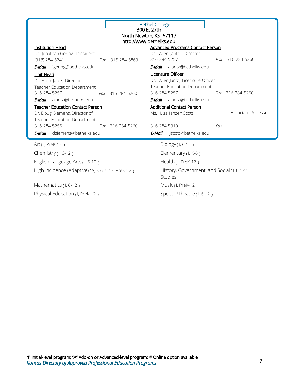| <b>Bethel College</b><br>300 E. 27th<br>North Newton, KS 67117                                                       |                  |                                                                                                                                          |                     |
|----------------------------------------------------------------------------------------------------------------------|------------------|------------------------------------------------------------------------------------------------------------------------------------------|---------------------|
|                                                                                                                      |                  | http://www.bethelks.edu                                                                                                                  |                     |
| <b>Institution Head</b><br>Dr. Jonathan Gering, President                                                            |                  | <b>Advanced Programs Contact Person</b><br>Dr. Allen Jantz, Director<br>316-284-5257                                                     | Fax 316-284-5260    |
| (318) 284-5241<br><b>E-Mail</b> jgering@bethelks.edu                                                                 | Fax 316-284-5863 | ajantz@bethelks.edu<br>E-Mail                                                                                                            |                     |
| Unit Head<br>Dr. Allen Jantz, Director<br>Teacher Education Department<br>316-284-5257<br>E-Mail ajantz@bethelks.edu | Fax 316-284-5260 | Licensure Officer<br>Dr. Allen Jantz, Licensure Officer<br>Teacher Education Department<br>316-284-5257<br>E-Mail<br>ajantz@bethelks.edu | Fax 316-284-5260    |
| <b>Teacher Education Contact Person</b><br>Dr. Doug Siemens, Director of<br>Teacher Education Department             |                  | <b>Additional Contact Person</b><br>Ms. Lisa Janzen Scott                                                                                | Associate Professor |
| 316-284-5256<br><b>E-Mail</b> dsiemens@bethelks.edu                                                                  | Fax 316-284-5260 | 316-284-5310<br>ljscott@bethelks.edu<br>E-Mail                                                                                           | Fax                 |
| Art (I, PreK-12)                                                                                                     |                  | Biology (I, 6-12)                                                                                                                        |                     |
| Chemistry $(1, 6-12)$                                                                                                |                  | Elementary $(1, K-6)$                                                                                                                    |                     |
| English Language Arts (I, 6-12)                                                                                      |                  | Health (I, PreK-12)                                                                                                                      |                     |
| High Incidence (Adaptive) (A, K-6, 6-12, PreK-12)                                                                    |                  | History, Government, and Social (I, 6-12)<br><b>Studies</b>                                                                              |                     |
| Mathematics (I, 6-12)                                                                                                |                  | Music (I, PreK-12)                                                                                                                       |                     |
| Physical Education (I, PreK-12)                                                                                      |                  | Speech/Theatre (I, 6-12)                                                                                                                 |                     |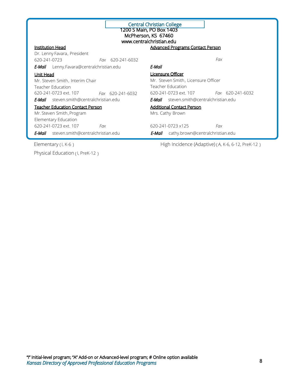| <b>Central Christian College</b><br>1200 S Main, PO Box 1403<br>McPherson, KS 67460<br>www.centralchristian.edu |                                                 |  |  |
|-----------------------------------------------------------------------------------------------------------------|-------------------------------------------------|--|--|
| <b>Institution Head</b>                                                                                         | <b>Advanced Programs Contact Person</b>         |  |  |
| Dr. Lenny Favara, President                                                                                     |                                                 |  |  |
| 620-241-0723<br><i>Fax</i> 620-241-6032                                                                         | Fax                                             |  |  |
| <b>E-Mail</b> Lenny.Favara@centralchristian.edu                                                                 | E-Mail                                          |  |  |
| Unit Head                                                                                                       | Licensure Officer                               |  |  |
| Mr. Steven Smith, Interim Chair                                                                                 | Mr. Steven Smith, Licensure Officer             |  |  |
| <b>Teacher Education</b>                                                                                        | Teacher Education                               |  |  |
| 620-241-0723 ext. 107<br>Fax 620-241-6032                                                                       | 620-241-0723 ext. 107 Fax 620-241-6032          |  |  |
| <b>E-Mail</b> steven.smith@centralchristian.edu                                                                 | <b>E-Mail</b> steven.smith@centralchristian.edu |  |  |
| <b>Teacher Education Contact Person</b>                                                                         | <b>Additional Contact Person</b>                |  |  |
| Mr. Steven Smith, Program                                                                                       | Mrs. Cathy Brown                                |  |  |
| Elementary Education                                                                                            |                                                 |  |  |
| 620-241-0723 ext. 107<br>Fax                                                                                    | 620-241-0723 x125<br>Fax                        |  |  |
| <b>E-Mail</b> steven.smith@centralchristian.edu                                                                 | cathy.brown@centralchristian.edu<br>E-Mail      |  |  |

Physical Education (I, PreK-12)

Elementary (I, K-6) The High Incidence (Adaptive) (A, K-6, 6-12, PreK-12)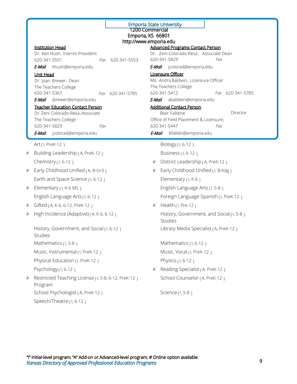|   | 1200 Commercial<br>Emporia, KS 66801<br>http://www.emporia.edu | <b>Emporia State University</b>                                                   |  |
|---|----------------------------------------------------------------|-----------------------------------------------------------------------------------|--|
|   | <b>Institution Head</b>                                        | <b>Advanced Programs Contact Person</b>                                           |  |
|   | Dr. Ken Hush, Interim President                                | Dr. Zeni Colorado-Resa, Associate Dean                                            |  |
|   | 620-341-5551<br>620-341-5553<br>Fax                            | 620-341-5829<br>Fax                                                               |  |
|   | khush@emporia.edu<br>E-Mail                                    | E-Mail jcolorad@emporia.edu                                                       |  |
|   | Unit Head<br>Dr. Joan Brewer, Dean                             | Licensure Officer<br>Ms. Andra Baldwin, Licensure Officer<br>The Teachers College |  |
|   | The Teachers College                                           |                                                                                   |  |
|   | 620-341-5367<br>Fax 620-341-5785                               | 620-341-5412<br>Fax 620-341-5785                                                  |  |
|   | E-Mail jbrewer@emporia.edu                                     | E-Mail abaldwin@emporia.edu                                                       |  |
|   | <b>Teacher Education Contact Person</b>                        | <b>Additional Contact Person</b>                                                  |  |
|   | Dr. Zeni Colorado-Resa, Associate<br>The Teachers College      | Director<br>Blair Falldine<br>Office of Field Placement & Licensure;              |  |
|   | 620-341-5829<br>Fax                                            | 620-341-5447<br>Fax                                                               |  |
|   | jcolorad@emporia.edu<br>E-Mail                                 | E-Mail<br>bfalldin@emporia.edu                                                    |  |
|   | Art (I, PreK-12)                                               | Biology (I, 6-12)                                                                 |  |
| # | Building Leadership (A, PreK-12)                               | Business (1, 6-12)                                                                |  |
|   | Chemistry $(1, 6-12)$                                          | District Leadership (A, PreK-12)<br>#                                             |  |
| # | Early Childhood Unified (A, B-Gr3)                             | Early Childhood Unified (I, B-Kdg)<br>#                                           |  |
|   | Earth and Space Science (I, 6-12)                              | Elementary $(1, K-6)$                                                             |  |
| # | Elementary (I, K-6 MS)                                         | English Language Arts (I, 5-8)                                                    |  |
|   | English Language Arts (I, 6-12)                                | Foreign Language-Spanish (I, PreK-12)                                             |  |
| # | Gifted (A, K-6, 6-12, PreK-12)                                 | Health (I, Pre-12)<br>#                                                           |  |
| # | High Incidence (Adaptive) (A, K-6, 6-12)                       | History, Government, and Social (I, 5-8)<br>Studies                               |  |
|   | History, Government, and Social (I, 6-12)<br><b>Studies</b>    | Library Media Specialist (A, PreK-12)                                             |  |
|   | Mathematics (I, 5-8)                                           | Mathematics (I, 6-12)                                                             |  |
|   | Music, Instrumental (I, PreK-12)                               | Music, Vocal (I, PreK-12)                                                         |  |
|   | Physical Education (I, PreK-12)                                | Physics (1, 6-12)                                                                 |  |
|   | Psychology (I, 6-12)                                           | Reading Specialist (A, PreK-12)<br>#                                              |  |
| # | Restricted Teaching License (I, 5-8, 6-12, PreK-12)<br>Program | School Counselor (A, PreK-12)                                                     |  |
|   | School Psychologist (A, PreK-12)                               | Science (1, 5-8)                                                                  |  |
|   | Speech/Theatre(I, 6-12)                                        |                                                                                   |  |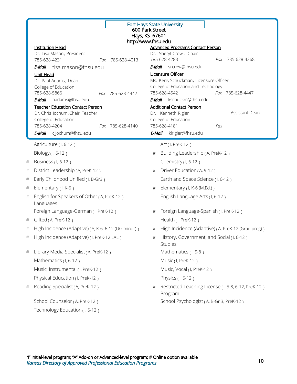|   | Fort Hays State University<br><b>600 Park Street</b>                                              |                                                     |  |  |
|---|---------------------------------------------------------------------------------------------------|-----------------------------------------------------|--|--|
|   | Hays, KS 67601                                                                                    |                                                     |  |  |
|   | http://www.fhsu.edu<br><b>Institution Head</b><br><b>Advanced Programs Contact Person</b>         |                                                     |  |  |
|   | Dr. Tisa Mason, President<br>Dr. Sheryl Crow, Chair                                               |                                                     |  |  |
|   | 785-628-4283<br>785-628-4231<br>785-628-4013<br>Fax                                               | 785-628-4268<br>Fax                                 |  |  |
|   | E-Mail<br>E-Mail<br>tisa.mason@fhsu.edu                                                           | srcrow@fhsu.edu                                     |  |  |
|   | <b>Licensure Officer</b><br>Unit Head<br>Dr. Paul Adams, Dean                                     | Ms. Kerry Schuckman, Licensure Officer              |  |  |
|   | College of Education                                                                              | College of Education and Technology                 |  |  |
|   | 785-628-5866<br>785-628-4542<br>Fax 785-628-4447                                                  | Fax 785-628-4447                                    |  |  |
|   | E-Mail padams@fhsu.edu                                                                            | E-Mail kschuckm@fhsu.edu                            |  |  |
|   | <b>Teacher Education Contact Person</b><br>Dr. Chris Jochum, Chair, Teacher<br>Dr. Kenneth Rigler | <b>Additional Contact Person</b><br>Assistant Dean  |  |  |
|   | College of Education<br>College of Education                                                      |                                                     |  |  |
|   | 785-628-4204<br>785-628-4181<br>Fax 785-628-4140                                                  | Fax                                                 |  |  |
|   | cjjochum@fhsu.edu<br>E-Mail                                                                       | E-Mail klrigler@fhsu.edu                            |  |  |
|   | Agriculture (I, 6-12)<br>Art (I, PreK-12)                                                         |                                                     |  |  |
|   | Biology (I, 6-12)<br>#                                                                            | Building Leadership (A, PreK-12)                    |  |  |
| # | Business (1, 6-12)                                                                                | Chemistry (I, 6-12)                                 |  |  |
| # | District Leadership (A, PreK-12)<br>#                                                             | Driver Education (A, 9-12)                          |  |  |
| # | Early Childhood Unified (I, B-Gr3)                                                                | Earth and Space Science (I, 6-12)                   |  |  |
| # | Elementary $(1, K-6)$<br>#                                                                        | Elementary (I, K-6 (M.Ed.))                         |  |  |
| # | English for Speakers of Other (A, PreK-12)<br>Languages                                           | English Language Arts (I, 6-12)                     |  |  |
|   | Foreign Language-German (I, PreK-12)<br>#                                                         | Foreign Language-Spanish (I, PreK-12)               |  |  |
| # | Gifted (A, PreK-12)                                                                               | Health (I, PreK-12)                                 |  |  |
| # | High Incidence (Adaptive) (A, K-6, 6-12 (UG minor))<br>#                                          | High Incidence (Adaptive) (A, PreK-12 (Grad prog))  |  |  |
|   | # High Incidence (Adaptive) (I, PreK-12 LAL)<br>Studies                                           | History, Government, and Social (I, 6-12)           |  |  |
| # | Library Media Specialist (A, PreK-12)                                                             | Mathematics (I, 5-8)                                |  |  |
|   | Mathematics (I, 6-12)                                                                             | Music (I, PreK-12)                                  |  |  |
|   | Music, Instrumental (I, PreK-12)                                                                  | Music, Vocal (I, PreK-12)                           |  |  |
|   | Physical Education (I, PreK-12)                                                                   | Physics (1, 6-12)                                   |  |  |
| # | Reading Specialist (A, PreK-12)<br>#<br>Program                                                   | Restricted Teaching License (I, 5-8, 6-12, PreK-12) |  |  |
|   | School Counselor (A, PreK-12)                                                                     | School Psychologist (A, B-Gr 3, PreK-12)            |  |  |
|   | Technology Education (I, 6-12)                                                                    |                                                     |  |  |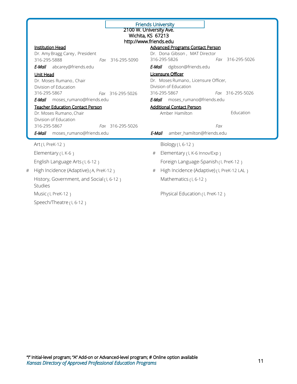|   | <b>Friends University</b><br>2100 W. University Ave.<br>Wichita, KS 67213<br>http://www.friends.edu                                                                       |                                                                                                                                                              |  |
|---|---------------------------------------------------------------------------------------------------------------------------------------------------------------------------|--------------------------------------------------------------------------------------------------------------------------------------------------------------|--|
|   | <b>Institution Head</b><br>Dr. Amy Bragg Carey, President<br>316-295-5888<br>Fax 316-295-5090<br>E-Mail abcarey@friends.edu                                               | <b>Advanced Programs Contact Person</b><br>Dr. Dona Gibson, MAT Director<br>316-295-5826<br>Fax 316-295-5026<br>E-Mail dgibson@friends.edu                   |  |
|   | Unit Head<br>Dr. Moses Rumano, Chair<br>Division of Education<br>316-295-5867<br>Fax 316-295-5026<br>moses_rumano@friends.edu<br>E-Mail                                   | Licensure Officer<br>Dr. Moses Rumano, Licensure Officer,<br>Division of Education<br>316-295-5867<br>Fax 316-295-5026<br>moses_rumano@friends.edu<br>E-Mail |  |
|   | <b>Teacher Education Contact Person</b><br>Dr. Moses Rumano, Chair<br>Division of Education<br>316-295-5867<br>Fax 316-295-5026<br><b>E-Mail</b> moses rumano@friends.edu | <b>Additional Contact Person</b><br>Education<br>Amber Hamilton<br>Fax<br>E-Mail<br>amber hamilton@friends.edu                                               |  |
| # | Art (I, PreK-12)<br>Elementary (I, K-6)<br>English Language Arts (I, 6-12)<br>High Incidence (Adaptive) (A, PreK-12)                                                      | Biology (1, 6-12)<br>Elementary (I, K-6 Innov/Exp)<br>#<br>Foreign Language-Spanish (I, PreK-12)<br>High Incidence (Adaptive) (I, PreK-12 LAL)<br>#          |  |
|   | History, Government, and Social (I, 6-12)<br>Studies<br>Music (I, PreK-12)<br>Speech/Theatre(I, 6-12)                                                                     | Mathematics (I, 6-12)<br>Physical Education (I, PreK-12)                                                                                                     |  |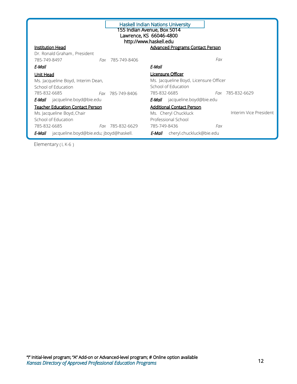| <b>Haskell Indian Nations University</b><br>155 Indian Avenue, Box 5014<br>Lawrence, KS 66046-4800<br>http://www.haskell.edu |                  |                                        |                        |
|------------------------------------------------------------------------------------------------------------------------------|------------------|----------------------------------------|------------------------|
| <b>Advanced Programs Contact Person</b><br><b>Institution Head</b>                                                           |                  |                                        |                        |
| Dr. Ronald Graham, President                                                                                                 |                  |                                        |                        |
| 785-749-8497                                                                                                                 | Fax 785-749-8406 |                                        | Fax                    |
| E-Mail                                                                                                                       |                  | E-Mail                                 |                        |
| Unit Head                                                                                                                    |                  | Licensure Officer                      |                        |
| Ms. Jacqueline Boyd, Interim Dean,                                                                                           |                  | Ms. Jacqueline Boyd, Licensure Officer |                        |
| School of Education                                                                                                          |                  | School of Education                    |                        |
| 785-832-6685                                                                                                                 | Fax 785-749-8406 | 785-832-6685                           | Fax 785-832-6629       |
| <b>E-Mail</b> jacqueline.boyd@bie.edu                                                                                        |                  | <b>E-Mail</b> jacqueline.boyd@bie.edu  |                        |
| <b>Teacher Education Contact Person</b>                                                                                      |                  | <b>Additional Contact Person</b>       |                        |
| Ms. Jacqueline Boyd, Chair                                                                                                   |                  | Ms. Cheryl Chuckluck                   | Interim Vice President |
| School of Education                                                                                                          |                  | Professional School                    |                        |
| 785-832-6685                                                                                                                 | Fax 785-832-6629 | 785-749-8436                           | Fax                    |
| <b>E-Mail</b> jacqueline.boyd@bie.edu; jboyd@haskell.                                                                        |                  | cheryl.chuckluck@bie.edu<br>E-Mail     |                        |

Elementary ( I, K-6 )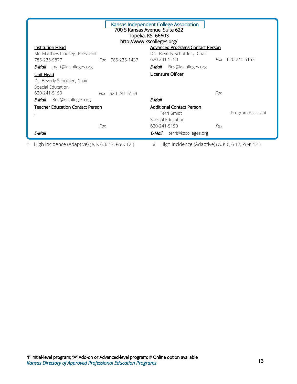| Kansas Independent College Association<br>700 S Kansas Avenue, Suite 622<br>Topeka, KS 66603   |                                                                                                             |  |  |
|------------------------------------------------------------------------------------------------|-------------------------------------------------------------------------------------------------------------|--|--|
|                                                                                                | http://www.kscolleges.org/                                                                                  |  |  |
| <u> Institution Head</u><br>Mr. Matthew Lindsey, President<br>785-235-9877<br>Fax 785-235-1437 | <b>Advanced Programs Contact Person</b><br>Dr. Beverly Schottler, Chair<br>620-241-5150<br>Fax 620-241-5153 |  |  |
| matt@kscolleges.org<br>E-Mail                                                                  | Bev@kscolleges.org<br>E-Mail                                                                                |  |  |
| Unit Head<br>Dr. Beverly Schottler, Chair<br>Special Education                                 | Licensure Officer                                                                                           |  |  |
| 620-241-5150<br>Fax 620-241-5153                                                               | Fax                                                                                                         |  |  |
| Bev@kscolleges.org<br>E-Mail                                                                   | E-Mail                                                                                                      |  |  |
| Teacher Education Contact Person                                                               | <b>Additional Contact Person</b><br>Program Assistant<br>Terri Smidt<br>Special Education                   |  |  |
| Fax                                                                                            | 620-241-5150<br>Fax                                                                                         |  |  |
| E-Mail                                                                                         | terri@kscolleges.org<br>E-Mail                                                                              |  |  |
| High Incidence (Adaptive) (A, K-6, 6-12, PreK-12)<br>#                                         | High Incidence (Adaptive) (A, K-6, 6-12, PreK-12)<br>#                                                      |  |  |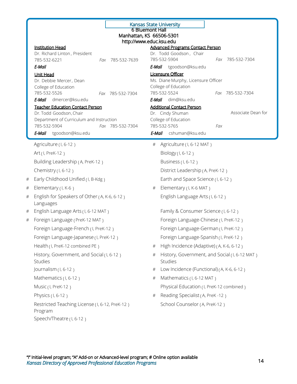|   |                                                                     |   | <b>Kansas State University</b>                                     |
|---|---------------------------------------------------------------------|---|--------------------------------------------------------------------|
|   | 6 Bluemont Hall<br>Manhattan, KS 66506-5301                         |   |                                                                    |
|   | http://www.educ.ksu.edu                                             |   |                                                                    |
|   | <b>Institution Head</b><br>Dr. Richard Linton, President            |   | <b>Advanced Programs Contact Person</b><br>Dr. Todd Goodson, Chair |
|   | 785-532-6221<br>785-532-7639<br>Fax                                 |   | 785-532-5904<br>785-532-7304<br>Fax                                |
|   | E-Mail                                                              |   | E-Mail tgoodson@ksu.edu                                            |
|   | <b>Unit Head</b>                                                    |   | Licensure Officer                                                  |
|   | Dr. Debbie Mercer, Dean<br>College of Education                     |   | Ms. Diane Murphy, Licensure Officer<br>College of Education        |
|   | 785-532-5526<br>785-532-7304<br>Fax                                 |   | 785-532-5524<br>Fax 785-532-7304                                   |
|   | E-Mail<br>dmercer@ksu.edu                                           |   | E-Mail dim@ksu.edu                                                 |
|   | <b>Teacher Education Contact Person</b>                             |   | <b>Additional Contact Person</b><br>Associate Dean for             |
|   | Dr. Todd Goodson, Chair<br>Department of Curriculum and Instruction |   | Dr. Cindy Shuman<br>College of Education                           |
|   | 785-532-5904<br>Fax 785-532-7304                                    |   | 785-532-5765<br>Fax                                                |
|   | E-Mail<br>tgoodson@ksu.edu                                          |   | E-Mail cshuman@ksu.edu                                             |
|   | Agriculture (I, 6-12)                                               | # | Agriculture (I, 6-12 MAT)                                          |
|   | Art (I, PreK-12)                                                    |   | Biology (1, 6-12)                                                  |
|   | Building Leadership (A, PreK-12)                                    |   | Business (1, 6-12)                                                 |
|   | Chemistry (I, 6-12)                                                 |   | District Leadership (A, PreK-12)                                   |
| # | Early Childhood Unified (I, B-Kdg)                                  |   | Earth and Space Science (I, 6-12)                                  |
| # | Elementary $(1, K-6)$                                               | # | Elementary (I, K-6 MAT)                                            |
| # | English for Speakers of Other (A, K-6, 6-12)<br>Languages           |   | English Language Arts (I, 6-12)                                    |
| # | English Language Arts (I, 6-12 MAT)                                 |   | Family & Consumer Science (I, 6-12)                                |
| # | Foreign Language (PreK-12 MAT)                                      |   | Foreign Language-Chinese (I, PreK-12)                              |
|   | Foreign Language-French (I, PreK-12)                                |   | Foreign Language-German (I, PreK-12)                               |
|   | Foreign Language-Japanese (I, PreK-12)                              |   | Foreign Language-Spanish (I, PreK-12)                              |
|   | Health (I, PreK-12 combined PE)                                     | # | High Incidence (Adaptive) (A, K-6, 6-12)                           |
|   | History, Government, and Social (I, 6-12)<br><b>Studies</b>         | # | History, Government, and Social (I, 6-12 MAT)<br>Studies           |
|   | Journalism (I, 6-12)                                                | # | Low Incidence (Functional) (A, K-6, 6-12)                          |
|   | Mathematics (I, 6-12)                                               | # | Mathematics (I, 6-12 MAT)                                          |
|   | Music (I, PreK-12)                                                  |   | Physical Education (I, PreK-12 combined)                           |
|   | Physics (I, 6-12)                                                   | # | Reading Specialist (A, PreK -12)                                   |
|   | Restricted Teaching License (I, 6-12, PreK-12)<br>Program           |   | School Counselor (A, PreK-12)                                      |
|   | Speech/Theatre(I, 6-12)                                             |   |                                                                    |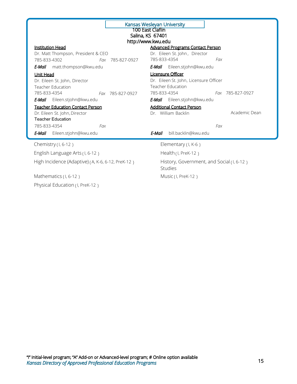| Kansas Wesleyan University<br>100 East Claflin<br>Salina, KS 67401<br>http://www.kwu.edu             |                  |                                                                                         |                  |  |
|------------------------------------------------------------------------------------------------------|------------------|-----------------------------------------------------------------------------------------|------------------|--|
| <b>Institution Head</b>                                                                              |                  | <b>Advanced Programs Contact Person</b>                                                 |                  |  |
| Dr. Matt Thompson, President & CEO                                                                   |                  | Dr. Eileen St. John, Director                                                           |                  |  |
| 785-833-4302<br>Fax                                                                                  | 785-827-0927     | 785-833-4354                                                                            | Fax              |  |
| E-Mail matt.thompson@kwu.edu                                                                         |                  | E-Mail Eileen.stjohn@kwu.edu                                                            |                  |  |
| Unit Head<br>Dr. Eileen St. John, Director<br><b>Teacher Education</b>                               |                  | Licensure Officer<br>Dr. Eileen St. John, Licensure Officer<br><b>Teacher Education</b> |                  |  |
| 785-833-4354                                                                                         | Fax 785-827-0927 | 785-833-4354                                                                            | Fax 785-827-0927 |  |
| E-Mail Eileen.stjohn@kwu.edu                                                                         |                  | Eileen.stjohn@kwu.edu<br>E-Mail                                                         |                  |  |
| <b>Teacher Education Contact Person</b><br>Dr. Eileen St. John, Director<br><b>Teacher Education</b> |                  | <b>Additional Contact Person</b><br>Dr. William Backlin                                 | Academic Dean    |  |
| 785-833-4354<br>Fax                                                                                  |                  |                                                                                         | Fax              |  |
| E-Mail Eileen.stjohn@kwu.edu                                                                         |                  | bill.backlin@kwu.edu<br>E-Mail                                                          |                  |  |
| Chemistry $(1, 6-12)$                                                                                |                  | Elementary $(1, K-6)$                                                                   |                  |  |
| English Language Arts (I, 6-12)                                                                      |                  | Health (I, PreK-12)                                                                     |                  |  |
| High Incidence (Adaptive) (A, K-6, 6-12, PreK-12)                                                    |                  | History, Government, and Social (I, 6-12)<br><b>Studies</b>                             |                  |  |
| Mathematics (I, 6-12)                                                                                |                  | Music (I, PreK-12)                                                                      |                  |  |

Physical Education (I, PreK-12)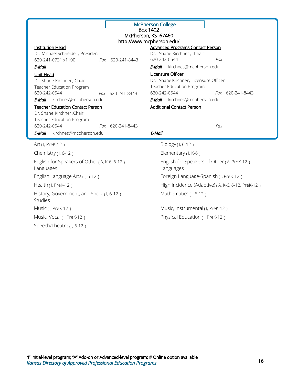|                                                      |                  | <b>McPherson College</b><br><b>Box 1402</b>                          |
|------------------------------------------------------|------------------|----------------------------------------------------------------------|
|                                                      |                  | McPherson, KS 67460                                                  |
| <b>Institution Head</b>                              |                  | http://www.mcpherson.edu/<br><b>Advanced Programs Contact Person</b> |
| Dr. Michael Schneider, President                     |                  | Dr. Shane Kirchner, Chair                                            |
| 620-241-0731 x1100                                   | Fax 620-241-8443 | 620-242-0544<br>Fax                                                  |
| <b>E-Mail</b>                                        |                  | E-Mail<br>kirchnes@mcpherson.edu                                     |
| Unit Head                                            |                  | <b>Licensure Officer</b>                                             |
| Dr. Shane Kirchner, Chair                            |                  | Dr. Shane Kirchner, Licensure Officer                                |
| Teacher Education Program<br>620-242-0544<br>Fax     | 620-241-8443     | Teacher Education Program<br>620-242-0544<br>Fax 620-241-8443        |
| kirchnes@mcpherson.edu<br>E-Mail                     |                  | E-Mail<br>kirchnes@mcpherson.edu                                     |
| <b>Teacher Education Contact Person</b>              |                  | <b>Additional Contact Person</b>                                     |
| Dr. Shane Kirchner, Chair                            |                  |                                                                      |
| Teacher Education Program                            |                  |                                                                      |
| 620-242-0544<br>E-Mail<br>kirchnes@mcpherson.edu     | Fax 620-241-8443 | Fax<br>E-Mail                                                        |
|                                                      |                  |                                                                      |
| Art (I, PreK-12)                                     |                  | Biology (I, 6-12)                                                    |
| Chemistry $(1, 6-12)$                                |                  | Elementary $(1, K-6)$                                                |
| English for Speakers of Other (A, K-6, 6-12)         |                  | English for Speakers of Other (A, PreK-12)                           |
| Languages                                            |                  | Languages                                                            |
| English Language Arts (I, 6-12)                      |                  | Foreign Language-Spanish (I, PreK-12)                                |
| Health (I, PreK-12)                                  |                  | High Incidence (Adaptive) (A, K-6, 6-12, PreK-12)                    |
| History, Government, and Social (I, 6-12)<br>Studies |                  | Mathematics (I, 6-12)                                                |
| Music (I, PreK-12)                                   |                  | Music, Instrumental (I, PreK-12)                                     |
| Music, Vocal (I, PreK-12)                            |                  | Physical Education (I, PreK-12)                                      |
| Speech/Theatre (I, 6-12)                             |                  |                                                                      |
|                                                      |                  |                                                                      |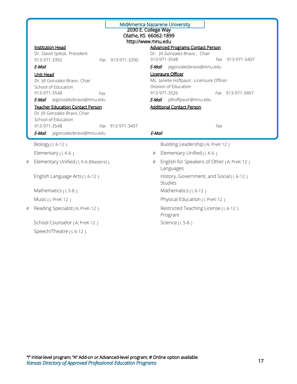|   |                                             |                  | MidAmerica Nazarene University<br>2030 E. College Way<br>Olathe, KS 66062-1899<br>http://www.mnu.edu |                                            |  |
|---|---------------------------------------------|------------------|------------------------------------------------------------------------------------------------------|--------------------------------------------|--|
|   | <b>Institution Head</b>                     |                  |                                                                                                      | <b>Advanced Programs Contact Person</b>    |  |
|   | Dr. David Spittal, President                |                  |                                                                                                      | Dr. Jill Gonzalez-Bravo, Chair             |  |
|   | 913-971-3392                                | Fax 913-971-3290 | 913-971-3548                                                                                         | Fax 913-971-3407                           |  |
|   | E-Mail                                      |                  |                                                                                                      | E-Mail jegonzalezbravo@mnu.edu             |  |
|   | Unit Head<br>Dr. Jill Gonzalez-Bravo, Chair |                  | Licensure Officer                                                                                    | Ms. Janelle Hoffpauir, Licensure Officer   |  |
|   | School of Education                         |                  | Division of Education                                                                                |                                            |  |
|   | 913-971-3548<br>$F\alpha x$                 |                  | 913-971-3526                                                                                         | Fax 913-971-3407                           |  |
|   | jegonzalezbravo@mnu.edu<br>E-Mail           |                  |                                                                                                      | E-Mail jdhoffpauir@mnu.edu                 |  |
|   | <b>Teacher Education Contact Person</b>     |                  | <b>Additional Contact Person</b>                                                                     |                                            |  |
|   | Dr. Jill Gonzalez-Bravo, Chair              |                  |                                                                                                      |                                            |  |
|   | School of Education<br>913-971-3548         | Fax 913-971-3407 |                                                                                                      | Fax                                        |  |
|   |                                             |                  |                                                                                                      |                                            |  |
|   | E-Mail<br>jegonzalezbravo@mnu.edu           |                  | E-Mail                                                                                               |                                            |  |
|   |                                             |                  |                                                                                                      |                                            |  |
|   | Biology (I, 6-12)                           |                  |                                                                                                      | Building Leadership (A, PreK-12)           |  |
|   | Elementary $(1, K-6)$                       |                  | #                                                                                                    | Elementary Unified (I, K-6)                |  |
| # | Elementary Unified (I, K-6 (Masters))       |                  | #<br>Languages                                                                                       | English for Speakers of Other (A, PreK-12) |  |
|   | English Language Arts (I, 6-12)             |                  | Studies                                                                                              | History, Government, and Social (I, 6-12)  |  |
|   | Mathematics (I, 5-8)                        |                  |                                                                                                      | Mathematics (I, 6-12)                      |  |
|   | Music (I, PreK-12)                          |                  |                                                                                                      | Physical Education (I, PreK-12)            |  |
| # | Reading Specialist (A, PreK-12)             |                  | Program                                                                                              | Restricted Teaching License (I, 6-12)      |  |
|   | School Counselor (A, PreK-12)               |                  | Science (1, 5-8)                                                                                     |                                            |  |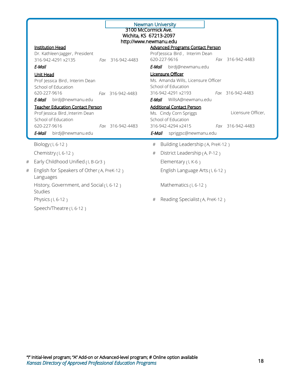| <b>Newman University</b><br>3100 McCormick Ave.<br>Wichita, KS 67213-2097<br>http://www.newmanu.edu |                                                                                                 |  |                  |        |                                                                                                                                               |                                        |
|-----------------------------------------------------------------------------------------------------|-------------------------------------------------------------------------------------------------|--|------------------|--------|-----------------------------------------------------------------------------------------------------------------------------------------------|----------------------------------------|
| <b>Institution Head</b><br>316-942-4291 x2135<br>E-Mail                                             | Dr. Kathleen Jagger, President                                                                  |  | Fax 316-942-4483 |        | <b>Advanced Programs Contact Person</b><br>ProfJessica Bird, Interim Dean<br>620-227-9616<br><b>E-Mail</b> birdj@newmanu.edu                  | Fax 316-942-4483                       |
| <b>Unit Head</b><br>School of Education<br>620-227-9616<br>E-Mail                                   | Prof Jessica Bird, Interim Dean<br>birdj@newmanu.edu                                            |  | Fax 316-942-4483 | E-Mail | Licensure Officer<br>Ms. Amanda Wills, Licensure Officer<br>School of Education<br>316-942-4291 x2193<br>WillsA@newmanu.edu                   | Fax 316-942-4483                       |
| School of Education<br>620-227-9616<br>E-Mail                                                       | <b>Teacher Education Contact Person</b><br>Prof Jessica Bird, Interim Dean<br>birdj@newmanu.edu |  | Fax 316-942-4483 |        | <b>Additional Contact Person</b><br>Ms. Cindy Corn Spriggs<br>School of Education<br>316-942-4294 x2415<br><b>E-Mail</b> spriggsc@newmanu.edu | Licensure Officer,<br>Fax 316-942-4483 |
| Biology (I, 6-12)<br>Chemistry $(1, 6-12)$<br>#                                                     | Early Childhood Unified (I, B-Gr3)                                                              |  |                  | #<br># | Building Leadership (A, PreK-12)<br>District Leadership (A, P-12)<br>Elementary $(1, K-6)$                                                    |                                        |
| #<br>Languages<br><b>Studies</b>                                                                    | English for Speakers of Other (A, PreK-12)<br>History, Government, and Social (I, 6-12)         |  |                  |        | English Language Arts (I, 6-12)<br>Mathematics (I, 6-12)                                                                                      |                                        |
| Physics (1, 6-12)<br>Speech/Theatre (I, 6-12)                                                       |                                                                                                 |  |                  | #      | Reading Specialist (A, PreK-12)                                                                                                               |                                        |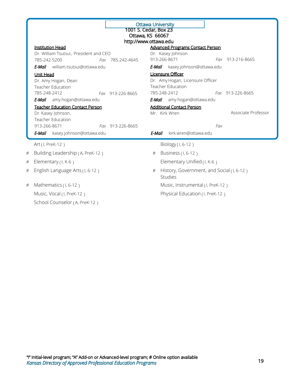|   |                                          | 1001 S. Cedar, Box 23<br>Ottawa, KS 66067<br>http://www.ottawa.edu | <b>Ottawa University</b>                       |
|---|------------------------------------------|--------------------------------------------------------------------|------------------------------------------------|
|   | <b>Institution Head</b>                  |                                                                    | <b>Advanced Programs Contact Person</b>        |
|   | Dr. William Tsutsui, President and CEO   |                                                                    | Dr. Kasey Johnson                              |
|   | 785-242-5200                             | Fax 785-242-4645                                                   | 913-266-8671<br>Fax 913-216-8665               |
|   | <b>E-Mail</b> william.tsutsui@ottawa.edu |                                                                    | E-Mail<br>kasey.johnson@ottawa.edu             |
|   | <b>Unit Head</b>                         |                                                                    | Licensure Officer                              |
|   | Dr. Amy Hogan, Dean                      |                                                                    | Dr. Amy Hogan, Licensure Officer               |
|   | <b>Teacher Education</b>                 |                                                                    | <b>Teacher Education</b>                       |
|   | 785-248-2412                             | Fax 913-226-8665                                                   | 785-248-2412<br>Fax 913-226-8665               |
|   | E-Mail<br>amy.hogan@ottawa.edu           |                                                                    | <b>E-Mail</b> amy.hogan@ottawa.edu             |
|   | <b>Teacher Education Contact Person</b>  |                                                                    | <b>Additional Contact Person</b>               |
|   | Dr. Kasey Johnson,                       |                                                                    | Associate Professor<br>Mr. Kirk Wren           |
|   | Teacher Education                        |                                                                    |                                                |
|   | 913-266-8671                             | Fax 913-226-8665                                                   | Fax                                            |
|   | E-Mail<br>kasey.johnson@ottawa.edu       |                                                                    | kirk.wren@ottawa.edu<br>E-Mail                 |
|   | Art (I, PreK-12)                         |                                                                    | Biology (I, 6-12)                              |
| # | Building Leadership (A, PreK-12)         |                                                                    | Business (1, 6-12)<br>#                        |
| # | Elementary $(1, K-6)$                    |                                                                    | Elementary Unified (I, K-6)                    |
| # | English Language Arts (I, 6-12)          |                                                                    | History, Government, and Social (I, 6-12)<br># |
|   |                                          |                                                                    | Studies                                        |
| # | Mathematics (I, 6-12)                    |                                                                    | Music, Instrumental (I, PreK-12)               |
|   | Music, Vocal (I, PreK-12)                |                                                                    | Physical Education (I, PreK-12)                |
|   | School Counselor (A, PreK-12)            |                                                                    |                                                |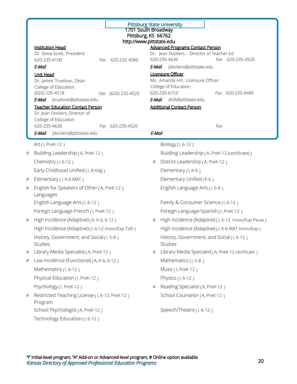|         | 1701 South Broadway<br>Pittsburg, KS 66762<br>http://www.pittstate.edu<br><b>Institution Head</b><br>Dr. Steve Scott, President<br>620-235-4100<br>Fax 620-232-4080<br>E-Mail<br>Unit Head<br>Dr. James Truelove, Dean<br>College of Education<br>(620) 235-4518<br>Fax (620) 235-4520<br>E-Mail jtruelove@pittstate.edu<br><b>Teacher Education Contact Person</b><br>Dr. Jean Dockers, Director of | E-Mail | <b>Pittsburg State University</b><br><b>Advanced Programs Contact Person</b><br>Dr. Jean Dockers, Director of Teacher Ed.<br>620-235-4636<br>Fax 620-235-4520<br>E-Mail jdockers@pittstate.edu<br>Licensure Officer<br>Ms. Amanda Hill, Licensure Officer<br>College of Education<br>620-235-6153<br>Fax 620-235-4489<br>ahill@pittstate.edu<br><b>Additional Contact Person</b> |
|---------|------------------------------------------------------------------------------------------------------------------------------------------------------------------------------------------------------------------------------------------------------------------------------------------------------------------------------------------------------------------------------------------------------|--------|----------------------------------------------------------------------------------------------------------------------------------------------------------------------------------------------------------------------------------------------------------------------------------------------------------------------------------------------------------------------------------|
|         | College of Education<br>620-235-4636<br>Fax 620-235-4520<br>jdockers@pittstate.edu<br>E-Mail                                                                                                                                                                                                                                                                                                         | E-Mail | Fax                                                                                                                                                                                                                                                                                                                                                                              |
|         | Art (I, PreK-12)                                                                                                                                                                                                                                                                                                                                                                                     |        | Biology (I, 6-12)                                                                                                                                                                                                                                                                                                                                                                |
| #       | Building Leadership (A, PreK-12)                                                                                                                                                                                                                                                                                                                                                                     |        | Building Leadership (A, PreK-12 (certificate))                                                                                                                                                                                                                                                                                                                                   |
|         | Chemistry $(1, 6-12)$                                                                                                                                                                                                                                                                                                                                                                                | #      | District Leadership (A, PreK-12)                                                                                                                                                                                                                                                                                                                                                 |
|         | Early Childhood Unified (I, B-Kdg)                                                                                                                                                                                                                                                                                                                                                                   |        | Elementary (I, K-6)                                                                                                                                                                                                                                                                                                                                                              |
| #       | Elementary (I, K-6 MAT)                                                                                                                                                                                                                                                                                                                                                                              |        | Elementary Unified (K-6)                                                                                                                                                                                                                                                                                                                                                         |
| #       | English for Speakers of Other (A, PreK-12)<br>Languages                                                                                                                                                                                                                                                                                                                                              |        | English Language Arts (I, 5-8)                                                                                                                                                                                                                                                                                                                                                   |
|         | English Language Arts (I, 6-12)                                                                                                                                                                                                                                                                                                                                                                      |        | Family & Consumer Science (I, 6-12)                                                                                                                                                                                                                                                                                                                                              |
|         | Foreign Language-French (I, PreK-12)                                                                                                                                                                                                                                                                                                                                                                 |        | Foreign Language-Spanish (I, PreK-12)                                                                                                                                                                                                                                                                                                                                            |
| #       | High Incidence (Adaptive) (A, K-6, 6-12)                                                                                                                                                                                                                                                                                                                                                             | #      | High Incidence (Adaptive) (I, 6-12 Innov/Exp Paras)                                                                                                                                                                                                                                                                                                                              |
|         | High Incidence (Adaptive) (I, 6-12 Innov/Exp ToR)                                                                                                                                                                                                                                                                                                                                                    |        | High Incidence (Adaptive) (I, K-6 MAT Innov/Exp)                                                                                                                                                                                                                                                                                                                                 |
|         | History, Government, and Social (I, 5-8)<br>Studies                                                                                                                                                                                                                                                                                                                                                  |        | History, Government, and Social (I, 6-12)<br><b>Studies</b>                                                                                                                                                                                                                                                                                                                      |
| #       | Library Media Specialist (A, PreK-12)                                                                                                                                                                                                                                                                                                                                                                | #      | Library Media Specialist (A, PreK-12 certificate)                                                                                                                                                                                                                                                                                                                                |
| $^{\#}$ | Low Incidence (Functional) (A, K-6, 6-12)                                                                                                                                                                                                                                                                                                                                                            |        | Mathematics (I, 5-8)                                                                                                                                                                                                                                                                                                                                                             |
|         | Mathematics (I, 6-12)                                                                                                                                                                                                                                                                                                                                                                                |        | Music (I, PreK-12)                                                                                                                                                                                                                                                                                                                                                               |
|         | Physical Education (I, PreK-12)                                                                                                                                                                                                                                                                                                                                                                      |        | Physics (1, 6-12)                                                                                                                                                                                                                                                                                                                                                                |
|         | Psychology (I, PreK-12)                                                                                                                                                                                                                                                                                                                                                                              | #      | Reading Specialist (A, PreK-12)                                                                                                                                                                                                                                                                                                                                                  |
| #       | Restricted Teaching License (I, 6-12, PreK-12)<br>Program                                                                                                                                                                                                                                                                                                                                            |        | School Counselor (A, PreK-12)                                                                                                                                                                                                                                                                                                                                                    |
|         | School Psychologist (A, PreK-12)                                                                                                                                                                                                                                                                                                                                                                     |        | Speech/Theatre(I, 6-12)                                                                                                                                                                                                                                                                                                                                                          |
|         | Technology Education (I, 6-12)                                                                                                                                                                                                                                                                                                                                                                       |        |                                                                                                                                                                                                                                                                                                                                                                                  |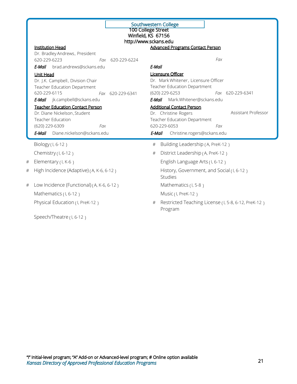|   |                                                                         | Southwestern College<br>100 College Street<br>Winfield, KS 67156<br>http://www.sckans.edu |
|---|-------------------------------------------------------------------------|-------------------------------------------------------------------------------------------|
|   | <b>Institution Head</b>                                                 | <b>Advanced Programs Contact Person</b>                                                   |
|   | Dr. Bradley Andrews, President<br>620-229-6223<br>Fax 620-229-6224      | Fax                                                                                       |
|   | <b>E-Mail</b> brad.andrews@sckans.edu                                   | E-Mail                                                                                    |
|   | <b>Unit Head</b>                                                        | <b>Licensure Officer</b>                                                                  |
|   | Dr. J.K. Campbell, Division Chair                                       | Dr. Mark Whitener, Licensure Officer                                                      |
|   | Teacher Education Department                                            | Teacher Education Department                                                              |
|   | 620-229-6115<br>Fax 620-229-6341                                        | (620) 229-6253<br>Fax 620-229-6341                                                        |
|   | jk.campbell@sckans.edu<br>E-Mail                                        | Mark.Whitener@sckans.edu<br>E-Mail                                                        |
|   | <b>Teacher Education Contact Person</b><br>Dr. Diane Nickelson, Student | <b>Additional Contact Person</b><br>Assistant Professor<br>Dr. Christine Rogers           |
|   | <b>Teacher Education</b>                                                | Teacher Education Department                                                              |
|   | (620) 229-6309<br>Fax                                                   | 620-229-6053<br>Fax                                                                       |
|   | Diane.nickelson@sckans.edu<br>E-Mail                                    | E-Mail<br>Christine.rogers@sckans.edu                                                     |
|   | Biology (I, 6-12)                                                       | Building Leadership (A, PreK-12)<br>#                                                     |
|   | Chemistry $(1, 6-12)$                                                   | District Leadership (A, PreK-12)<br>#                                                     |
| # | Elementary (I, K-6)                                                     | English Language Arts (I, 6-12)                                                           |
| # | High Incidence (Adaptive) (A, K-6, 6-12)                                | History, Government, and Social (I, 6-12)<br>Studies                                      |
| # | Low Incidence (Functional) (A, K-6, 6-12)                               | Mathematics (I, 5-8)                                                                      |
|   | Mathematics (I, 6-12)                                                   | Music (I, PreK-12)                                                                        |
|   | Physical Education (I, PreK-12)                                         | Restricted Teaching License (I, 5-8, 6-12, PreK-12)<br>#<br>Program                       |
|   | Speech/Theatre(I, 6-12)                                                 |                                                                                           |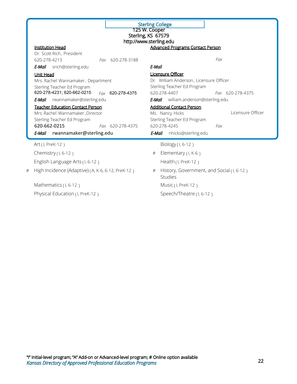|   |                                                                                | 125 W. Cooper<br>Sterling, KS 67579<br>http://www.sterling.edu | <b>Sterling College</b>                                                                            |                   |
|---|--------------------------------------------------------------------------------|----------------------------------------------------------------|----------------------------------------------------------------------------------------------------|-------------------|
|   | <b>Institution Head</b><br>Dr. Scott Rich, President<br>620-278-4213           | Fax 620-278-3188                                               | <b>Advanced Programs Contact Person</b>                                                            | Fax               |
|   | E-Mail srich@sterling.edu                                                      |                                                                | E-Mail                                                                                             |                   |
|   | Unit Head<br>Mrs. Rachel Wannamaker, Department<br>Sterling Teacher Ed Program |                                                                | <b>Licensure Officer</b><br>Dr. William Anderson, Licensure Officer<br>Sterling Teacher Ed Program |                   |
|   | 620-278-4231; 620-662-0215<br>E-Mail                                           | Fax 620-278-4375                                               | 620-278-4407<br><b>E-Mail</b> william.anderson@sterling.edu                                        | Fax 620-278-4375  |
|   | rwannamaker@sterling.edu<br><b>Teacher Education Contact Person</b>            |                                                                | <b>Additional Contact Person</b>                                                                   |                   |
|   | Mrs. Rachel Wannamaker, Director                                               |                                                                | Ms. Nancy Hicks                                                                                    | Licensure Officer |
|   | Sterling Teacher Ed Program                                                    |                                                                | Sterling Teacher Ed Program                                                                        |                   |
|   |                                                                                |                                                                | 620-278-4245                                                                                       | Fax               |
|   | 620-662-0215                                                                   | Fax 620-278-4375                                               |                                                                                                    |                   |
|   | rwannamaker@sterling.edu<br>E-Mail                                             |                                                                | E-Mail<br>nhicks@sterling.edu                                                                      |                   |
|   | Art (I, PreK-12)                                                               |                                                                | Biology (1, 6-12)                                                                                  |                   |
|   | Chemistry $(1, 6-12)$                                                          |                                                                | Elementary $(1, K-6)$<br>#                                                                         |                   |
|   | English Language Arts (I, 6-12)                                                |                                                                | Health (I, PreK-12)                                                                                |                   |
| # | High Incidence (Adaptive) (A, K-6, 6-12, PreK-12)                              |                                                                | History, Government, and Social (I, 6-12)<br>#<br><b>Studies</b>                                   |                   |
|   | Mathematics (I, 6-12)                                                          |                                                                | Music (I, PreK-12)                                                                                 |                   |
|   | Physical Education (I, PreK-12)                                                |                                                                | Speech/Theatre (I, 6-12)                                                                           |                   |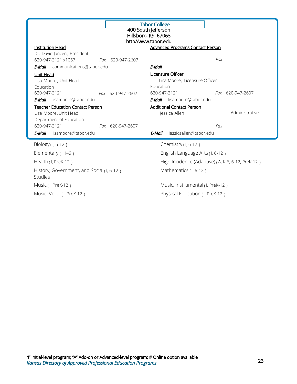| <b>Tabor College</b><br>400 South Jefferson<br>Hillsboro, KS 67063<br>http//www.tabor.edu |                                  |                                                   |  |  |
|-------------------------------------------------------------------------------------------|----------------------------------|---------------------------------------------------|--|--|
| <b>Institution Head</b>                                                                   |                                  | <b>Advanced Programs Contact Person</b>           |  |  |
| Dr. David Janzen, President                                                               |                                  |                                                   |  |  |
| 620-947-3121 x1057<br>Fax 620-947-2607                                                    | E-Mail                           | Fax                                               |  |  |
| <b>E-Mail</b> communications@tabor.edu                                                    |                                  |                                                   |  |  |
| Unit Head                                                                                 | Licensure Officer                | Lisa Moore, Licensure Officer                     |  |  |
| Lisa Moore, Unit Head<br>Education                                                        | Education                        |                                                   |  |  |
| 620-947-3121<br>Fax 620-947-2607                                                          | 620-947-3121                     | Fax 620-947-2607                                  |  |  |
| E-Mail<br>lisamoore@tabor.edu                                                             | E-Mail                           | lisamoore@tabor.edu                               |  |  |
| <b>Teacher Education Contact Person</b>                                                   | <b>Additional Contact Person</b> |                                                   |  |  |
| Lisa Moore, Unit Head                                                                     | Jessica Allen                    | Administrative                                    |  |  |
| Department of Education                                                                   |                                  |                                                   |  |  |
| 620-947-3121<br>Fax 620-947-2607                                                          |                                  | Fax                                               |  |  |
| E-Mail<br>lisamoore@tabor.edu                                                             | E-Mail                           | jessicaallen@tabor.edu                            |  |  |
| Biology (I, 6-12)                                                                         |                                  | Chemistry (I, 6-12)                               |  |  |
| Elementary (I, K-6)                                                                       |                                  | English Language Arts (I, 6-12)                   |  |  |
| Health $(1, PreK-12)$                                                                     |                                  | High Incidence (Adaptive) (A, K-6, 6-12, PreK-12) |  |  |
| History, Government, and Social (I, 6-12)<br><b>Studies</b>                               |                                  | Mathematics (I, 6-12)                             |  |  |
| Music (I, PreK-12)                                                                        |                                  | Music, Instrumental (I, PreK-12)                  |  |  |
| Music, Vocal (I, PreK-12)                                                                 |                                  | Physical Education (I, PreK-12)                   |  |  |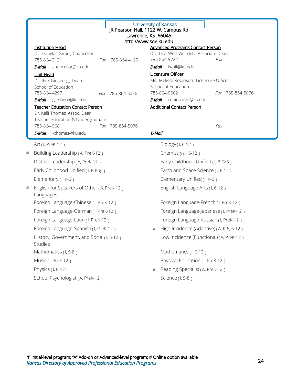|   | JR Pearson Hall, 1122 W. Campus Rd                                 | <b>University of Kansas</b>                                    |
|---|--------------------------------------------------------------------|----------------------------------------------------------------|
|   | Lawrence, KS 66045                                                 |                                                                |
|   | http://www.soe.ku.edu<br><b>Institution Head</b>                   | <b>Advanced Programs Contact Person</b>                        |
|   | Dr. Douglas Girod, Chancellor                                      | Dr. Lisa Wolf-Wendel, Associate Dean                           |
|   | 785-864-3131<br>Fax 785-864-4120                                   | 785-864-9722<br>Fax                                            |
|   | E-Mail chancellor@ku.edu                                           | lwolf@ku.edu<br>E-Mail                                         |
|   | <b>Unit Head</b>                                                   | <b>Licensure Officer</b>                                       |
|   | Dr. Rick Ginsberg, Dean<br>School of Education                     | Ms. Melissa Robinson, Licensure Officer<br>School of Education |
|   | 785-864-4297<br>785-864-5076<br>Fax                                | 785-864-9602<br>Fax 785-864-5076                               |
|   | E-Mail ginsberg@ku.edu                                             | E-Mail robinsonm@ku.edu                                        |
|   | <b>Teacher Education Contact Person</b>                            | <b>Additional Contact Person</b>                               |
|   | Dr. Kelli Thomas, Assoc. Dean<br>Teacher Education & Undergraduate |                                                                |
|   | 785-864-9681<br>Fax 785-864-5076                                   | Fax                                                            |
|   | kthomas@ku.edu<br>E-Mail                                           | E-Mail                                                         |
|   | Art (I, PreK-12)                                                   | Biology (I, 6-12)                                              |
| # | Building Leadership (A, PreK-12)                                   | Chemistry (I, 6-12)                                            |
|   | District Leadership (A, PreK-12)                                   | Early Childhood Unified (I, B-Gr3)                             |
|   | Early Childhood Unified (I, B-Kdg)                                 | Earth and Space Science (I, 6-12)                              |
|   | Elementary (I, K-6)                                                | Elementary Unified (I, K-6)                                    |
| # | English for Speakers of Other (A, PreK-12)                         | English Language Arts (I, 6-12)                                |
|   | Languages                                                          |                                                                |
|   | Foreign Language-Chinese (I, PreK-12)                              | Foreign Language-French (I, PreK-12)                           |
|   | Foreign Language-German (I, PreK-12)                               | Foreign Language-Japanese (I, PreK-12)                         |
|   | Foreign Language-Latin (I, PreK-12)                                | Foreign Language-Russian (I, PreK-12)                          |
|   | Foreign Language-Spanish (I, PreK-12)                              | High Incidence (Adaptive) (A, K-6, 6-12)<br>#                  |
|   | History, Government, and Social (I, 6-12)<br><b>Studies</b>        | Low Incidence (Functional) (A, PreK-12)                        |
|   | Mathematics (I, 5-8)                                               | Mathematics (I, 6-12)                                          |
|   | Music (I, PreK-12)                                                 | Physical Education (I, PreK-12)                                |
|   | Physics (1, 6-12)                                                  | Reading Specialist (A, PreK-12)<br>#                           |
|   | School Psychologist (A, PreK-12)                                   | Science (1, 5-8)                                               |
|   |                                                                    |                                                                |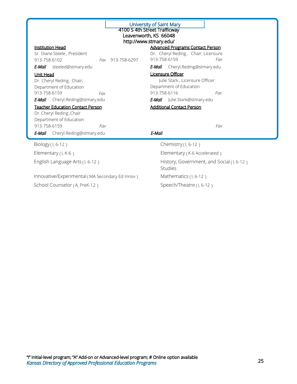| University of Saint Mary<br>4100 S 4th Street Trafficway<br>Leavenworth, KS 66048<br>http://www.stmary.edu/ |                     |                                                                                                              |  |  |
|-------------------------------------------------------------------------------------------------------------|---------------------|--------------------------------------------------------------------------------------------------------------|--|--|
| <b>Institution Head</b>                                                                                     |                     | <b>Advanced Programs Contact Person</b>                                                                      |  |  |
| Sr. Diane Steele, President                                                                                 |                     | Dr. Cheryl Reding, Chair; Licensure                                                                          |  |  |
| 913-758-6102                                                                                                | 913-758-6297<br>Fax | 913-758-6159<br>Fax                                                                                          |  |  |
| <b>E-Mail</b> steeled@stmary.edu                                                                            |                     | Cheryl.Reding@stmary.edu<br>E-Mail                                                                           |  |  |
| Unit Head<br>Dr. Cheryl Reding, Chair;<br>Department of Education<br>913-758-6159                           | Fax                 | <b>Licensure Officer</b><br>Julie Stark, Licensure Officer<br>Department of Education<br>913-758-6116<br>Fax |  |  |
| <b>E-Mail</b> Cheryl.Reding@stmary.edu                                                                      |                     | <b>E-Mail</b> Julie.Stark@stmary.edu                                                                         |  |  |
| <b>Teacher Education Contact Person</b><br>Dr. Cheryl Reding, Chair<br>Department of Education              |                     | <b>Additional Contact Person</b>                                                                             |  |  |
| 913-758-6159                                                                                                | Fax                 | Fax                                                                                                          |  |  |
| Cheryl.Reding@stmary.edu<br>E-Mail                                                                          |                     | E-Mail                                                                                                       |  |  |
| Biology (1, 6-12)                                                                                           |                     | Chemistry $(1, 6-12)$                                                                                        |  |  |
| Elementary (I, K-6)                                                                                         |                     | Elementary (K-6 Accelerated)                                                                                 |  |  |
| English Language Arts (I, 6-12)                                                                             |                     | History, Government, and Social (I, 6-12)<br><b>Studies</b>                                                  |  |  |
| Innovative/Experimental (MA Secondary Ed Innov)                                                             |                     | Mathematics (I, 6-12)                                                                                        |  |  |
| School Counselor (A, PreK-12)                                                                               |                     | Speech/Theatre (I, 6-12)                                                                                     |  |  |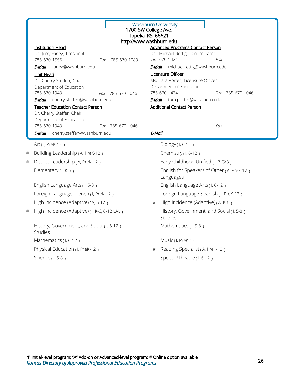|   |                                                                        | <b>Washburn University</b><br>1700 SW College Ave.<br>Topeka, KS 66621 |
|---|------------------------------------------------------------------------|------------------------------------------------------------------------|
|   |                                                                        | http://www.washburn.edu                                                |
|   | <b>Institution Head</b>                                                | <b>Advanced Programs Contact Person</b>                                |
|   | Dr. Jerry Farley, President<br>785-670-1556<br>Fax 785-670-1089        | Dr. Michael Rettig, Coordinator<br>785-670-1424<br>Fax                 |
|   | E-Mail farley@washburn.edu                                             | E-Mail<br>michael.rettig@washburn.edu                                  |
|   | <b>Unit Head</b>                                                       | Licensure Officer                                                      |
|   | Dr. Cherry Steffen, Chair                                              | Ms. Tara Porter, Licensure Officer                                     |
|   | Department of Education                                                | Department of Education                                                |
|   | 785-670-1943<br>Fax 785-670-1046<br>E-Mail cherry.steffen@washburn.edu | 785-670-1434<br>Fax 785-670-1046<br>E-Mail tara.porter@washburn.edu    |
|   | <b>Teacher Education Contact Person</b>                                | <b>Additional Contact Person</b>                                       |
|   | Dr. Cherry Steffen, Chair                                              |                                                                        |
|   | Department of Education                                                |                                                                        |
|   | 785-670-1943<br>Fax 785-670-1046                                       | Fax                                                                    |
|   | cherry.steffen@washburn.edu<br>E-Mail                                  | E-Mail                                                                 |
|   | Art (I, PreK-12)                                                       | Biology (1, 6-12)                                                      |
| # | Building Leadership (A, PreK-12)                                       | Chemistry (I, 6-12)                                                    |
| # | District Leadership (A, PreK-12)                                       | Early Childhood Unified (I, B-Gr3)                                     |
|   | Elementary (I, K-6)                                                    | English for Speakers of Other (A, PreK-12)<br>Languages                |
|   | English Language Arts (I, 5-8)                                         | English Language Arts (I, 6-12)                                        |
|   | Foreign Language-French (I, PreK-12)                                   | Foreign Language-Spanish (I, PreK-12)                                  |
| # | High Incidence (Adaptive) (A, 6-12)                                    | High Incidence (Adaptive) (A, K-6)<br>#                                |
| # | High Incidence (Adaptive) (I, K-6, 6-12 LAL)                           | History, Government, and Social (I, 5-8)<br>Studies                    |
|   | History, Government, and Social (I, 6-12)<br><b>Studies</b>            | Mathematics (I, 5-8)                                                   |
|   | Mathematics (I, 6-12)                                                  | Music (I, PreK-12)                                                     |
|   | Physical Education (I, PreK-12)                                        | Reading Specialist (A, PreK-12)<br>#                                   |
|   | Science (1, 5-8)                                                       | Speech/Theatre(I, 6-12)                                                |